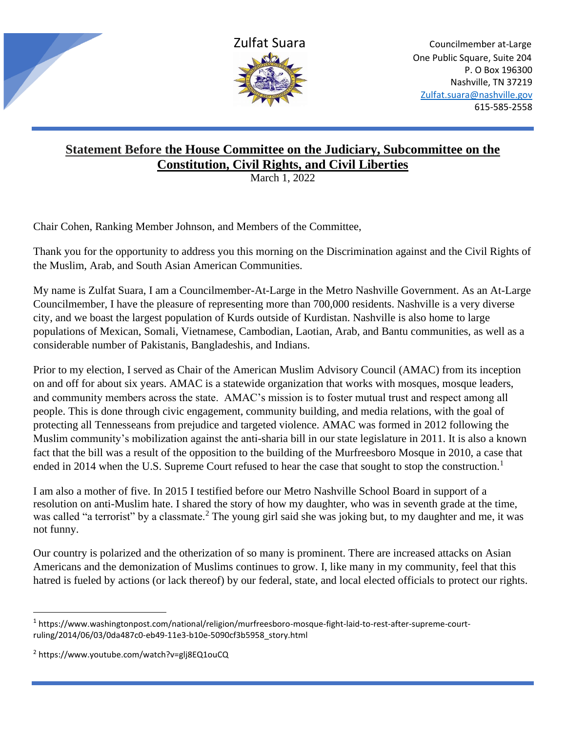

## **Statement Before the House Committee on the Judiciary, Subcommittee on the Constitution, Civil Rights, and Civil Liberties**

March 1, 2022

Chair Cohen, Ranking Member Johnson, and Members of the Committee,

Thank you for the opportunity to address you this morning on the Discrimination against and the Civil Rights of the Muslim, Arab, and South Asian American Communities.

My name is Zulfat Suara, I am a Councilmember-At-Large in the Metro Nashville Government. As an At-Large Councilmember, I have the pleasure of representing more than 700,000 residents. Nashville is a very diverse city, and we boast the largest population of Kurds outside of Kurdistan. Nashville is also home to large populations of Mexican, Somali, Vietnamese, Cambodian, Laotian, Arab, and Bantu communities, as well as a considerable number of Pakistanis, Bangladeshis, and Indians.

Prior to my election, I served as Chair of the American Muslim Advisory Council (AMAC) from its inception on and off for about six years. AMAC is a statewide organization that works with mosques, mosque leaders, and community members across the state. AMAC's mission is to foster mutual trust and respect among all people. This is done through civic engagement, community building, and media relations, with the goal of protecting all Tennesseans from prejudice and targeted violence. AMAC was formed in 2012 following the Muslim community's mobilization against the anti-sharia bill in our state legislature in 2011. It is also a known fact that the bill was a result of the opposition to the building of the Murfreesboro Mosque in 2010, a case that ended in 2014 when the U.S. Supreme Court refused to hear the case that sought to stop the construction.<sup>1</sup>

I am also a mother of five. In 2015 I testified before our Metro Nashville School Board in support of a resolution on anti-Muslim hate. I shared the story of how my daughter, who was in seventh grade at the time, was called "a terrorist" by a classmate.<sup>2</sup> The young girl said she was joking but, to my daughter and me, it was not funny.

Our country is polarized and the otherization of so many is prominent. There are increased attacks on Asian Americans and the demonization of Muslims continues to grow. I, like many in my community, feel that this hatred is fueled by actions (or lack thereof) by our federal, state, and local elected officials to protect our rights.

<sup>&</sup>lt;sup>1</sup> https://www.washingtonpost.com/national/religion/murfreesboro-mosque-fight-laid-to-rest-after-supreme-courtruling/2014/06/03/0da487c0-eb49-11e3-b10e-5090cf3b5958\_story.html

<sup>2</sup> https://www.youtube.com/watch?v=glj8EQ1ouCQ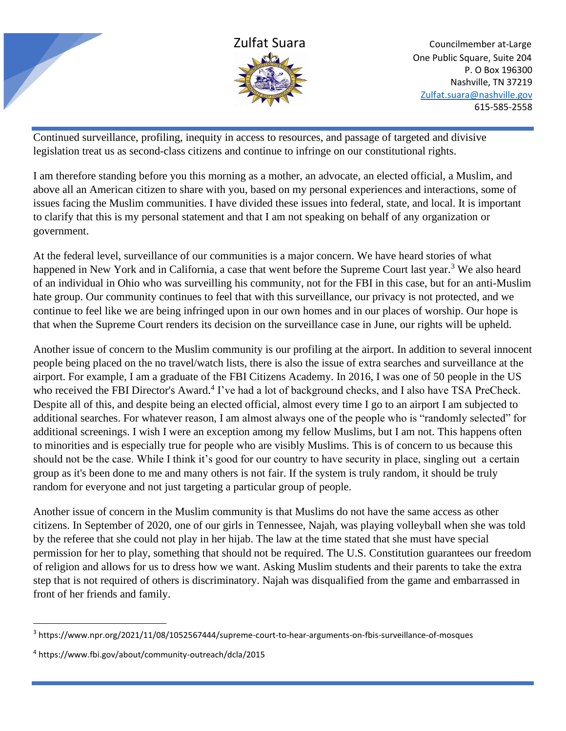

Continued surveillance, profiling, inequity in access to resources, and passage of targeted and divisive legislation treat us as second-class citizens and continue to infringe on our constitutional rights.

I am therefore standing before you this morning as a mother, an advocate, an elected official, a Muslim, and above all an American citizen to share with you, based on my personal experiences and interactions, some of issues facing the Muslim communities. I have divided these issues into federal, state, and local. It is important to clarify that this is my personal statement and that I am not speaking on behalf of any organization or government.

At the federal level, surveillance of our communities is a major concern. We have heard stories of what happened in New York and in California, a case that went before the Supreme Court last year.<sup>3</sup> We also heard of an individual in Ohio who was surveilling his community, not for the FBI in this case, but for an anti-Muslim hate group. Our community continues to feel that with this surveillance, our privacy is not protected, and we continue to feel like we are being infringed upon in our own homes and in our places of worship. Our hope is that when the Supreme Court renders its decision on the surveillance case in June, our rights will be upheld.

Another issue of concern to the Muslim community is our profiling at the airport. In addition to several innocent people being placed on the no travel/watch lists, there is also the issue of extra searches and surveillance at the airport. For example, I am a graduate of the FBI Citizens Academy. In 2016, I was one of 50 people in the US who received the FBI Director's Award.<sup>4</sup> I've had a lot of background checks, and I also have TSA PreCheck. Despite all of this, and despite being an elected official, almost every time I go to an airport I am subjected to additional searches. For whatever reason, I am almost always one of the people who is "randomly selected" for additional screenings. I wish I were an exception among my fellow Muslims, but I am not. This happens often to minorities and is especially true for people who are visibly Muslims. This is of concern to us because this should not be the case. While I think it's good for our country to have security in place, singling out a certain group as it's been done to me and many others is not fair. If the system is truly random, it should be truly random for everyone and not just targeting a particular group of people.

Another issue of concern in the Muslim community is that Muslims do not have the same access as other citizens. In September of 2020, one of our girls in Tennessee, Najah, was playing volleyball when she was told by the referee that she could not play in her hijab. The law at the time stated that she must have special permission for her to play, something that should not be required. The U.S. Constitution guarantees our freedom of religion and allows for us to dress how we want. Asking Muslim students and their parents to take the extra step that is not required of others is discriminatory. Najah was disqualified from the game and embarrassed in front of her friends and family.

<sup>3</sup> https://www.npr.org/2021/11/08/1052567444/supreme-court-to-hear-arguments-on-fbis-surveillance-of-mosques

<sup>4</sup> https://www.fbi.gov/about/community-outreach/dcla/2015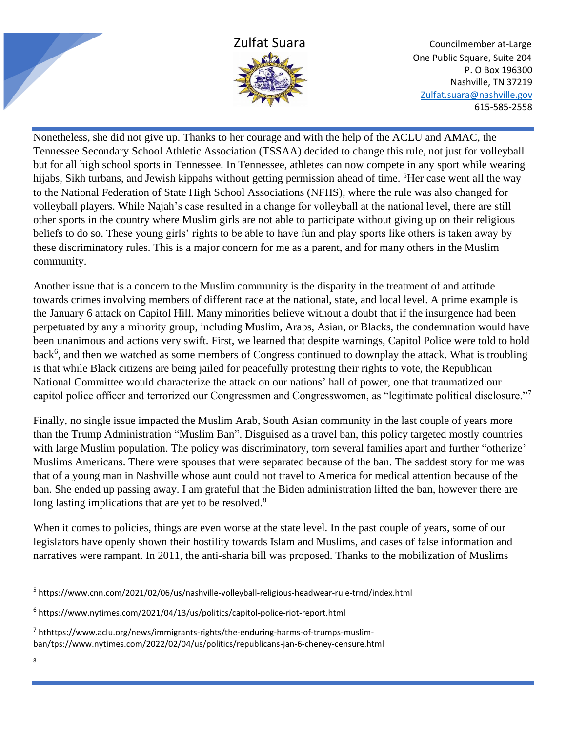

Nonetheless, she did not give up. Thanks to her courage and with the help of the ACLU and AMAC, the Tennessee Secondary School Athletic Association (TSSAA) decided to change this rule, not just for volleyball but for all high school sports in Tennessee. In Tennessee, athletes can now compete in any sport while wearing hijabs, Sikh turbans, and Jewish kippahs without getting permission ahead of time. <sup>5</sup>Her case went all the way to the National Federation of State High School Associations (NFHS), where the rule was also changed for volleyball players. While Najah's case resulted in a change for volleyball at the national level, there are still other sports in the country where Muslim girls are not able to participate without giving up on their religious beliefs to do so. These young girls' rights to be able to have fun and play sports like others is taken away by these discriminatory rules. This is a major concern for me as a parent, and for many others in the Muslim community.

Another issue that is a concern to the Muslim community is the disparity in the treatment of and attitude towards crimes involving members of different race at the national, state, and local level. A prime example is the January 6 attack on Capitol Hill. Many minorities believe without a doubt that if the insurgence had been perpetuated by any a minority group, including Muslim, Arabs, Asian, or Blacks, the condemnation would have been unanimous and actions very swift. First, we learned that despite warnings, Capitol Police were told to hold back<sup>6</sup>, and then we watched as some members of Congress continued to downplay the attack. What is troubling is that while Black citizens are being jailed for peacefully protesting their rights to vote, the Republican National Committee would characterize the attack on our nations' hall of power, one that traumatized our capitol police officer and terrorized our Congressmen and Congresswomen, as "legitimate political disclosure."<sup>7</sup>

Finally, no single issue impacted the Muslim Arab, South Asian community in the last couple of years more than the Trump Administration "Muslim Ban". Disguised as a travel ban, this policy targeted mostly countries with large Muslim population. The policy was discriminatory, torn several families apart and further "otherize" Muslims Americans. There were spouses that were separated because of the ban. The saddest story for me was that of a young man in Nashville whose aunt could not travel to America for medical attention because of the ban. She ended up passing away. I am grateful that the Biden administration lifted the ban, however there are long lasting implications that are yet to be resolved.<sup>8</sup>

When it comes to policies, things are even worse at the state level. In the past couple of years, some of our legislators have openly shown their hostility towards Islam and Muslims, and cases of false information and narratives were rampant. In 2011, the anti-sharia bill was proposed. Thanks to the mobilization of Muslims

<sup>5</sup> https://www.cnn.com/2021/02/06/us/nashville-volleyball-religious-headwear-rule-trnd/index.html

<sup>6</sup> https://www.nytimes.com/2021/04/13/us/politics/capitol-police-riot-report.html

<sup>7</sup> hthttps://www.aclu.org/news/immigrants-rights/the-enduring-harms-of-trumps-muslimban/tps://www.nytimes.com/2022/02/04/us/politics/republicans-jan-6-cheney-censure.html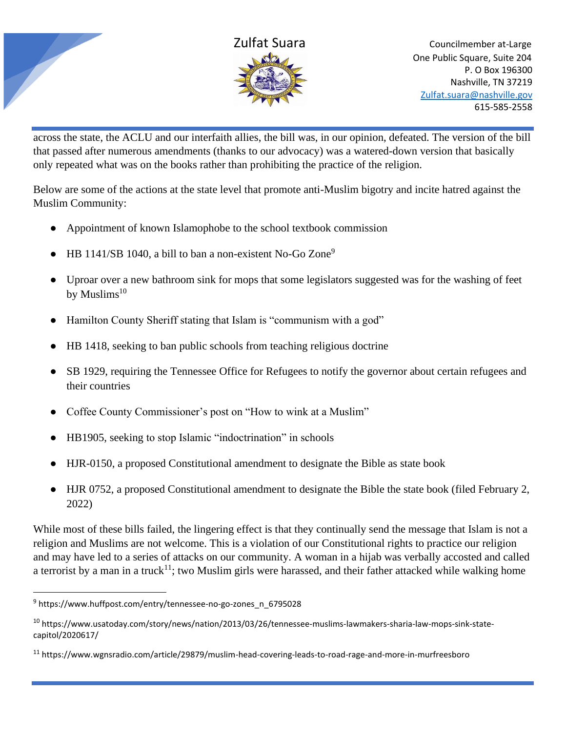



across the state, the ACLU and our interfaith allies, the bill was, in our opinion, defeated. The version of the bill that passed after numerous amendments (thanks to our advocacy) was a watered-down version that basically only repeated what was on the books rather than prohibiting the practice of the religion.

Below are some of the actions at the state level that promote anti-Muslim bigotry and incite hatred against the Muslim Community:

- Appointment of known Islamophobe to the school textbook commission
- HB 1141/SB 1040, a bill to ban a non-existent No-Go Zone<sup>9</sup>
- Uproar over a new bathroom sink for mops that some legislators suggested was for the washing of feet by Muslims $10$
- Hamilton County Sheriff stating that Islam is "communism with a god"
- HB 1418, seeking to ban public schools from teaching religious doctrine
- SB 1929, requiring the Tennessee Office for Refugees to notify the governor about certain refugees and their countries
- Coffee County Commissioner's post on "How to wink at a Muslim"
- HB1905, seeking to stop Islamic "indoctrination" in schools
- HJR-0150, a proposed Constitutional amendment to designate the Bible as state book
- HJR 0752, a proposed Constitutional amendment to designate the Bible the state book (filed February 2, 2022)

While most of these bills failed, the lingering effect is that they continually send the message that Islam is not a religion and Muslims are not welcome. This is a violation of our Constitutional rights to practice our religion and may have led to a series of attacks on our community. A woman in a hijab was verbally accosted and called a terrorist by a man in a truck<sup>11</sup>; two Muslim girls were harassed, and their father attacked while walking home

<sup>&</sup>lt;sup>9</sup> https://www.huffpost.com/entry/tennessee-no-go-zones\_n\_6795028

<sup>10</sup> https://www.usatoday.com/story/news/nation/2013/03/26/tennessee-muslims-lawmakers-sharia-law-mops-sink-statecapitol/2020617/

<sup>11</sup> https://www.wgnsradio.com/article/29879/muslim-head-covering-leads-to-road-rage-and-more-in-murfreesboro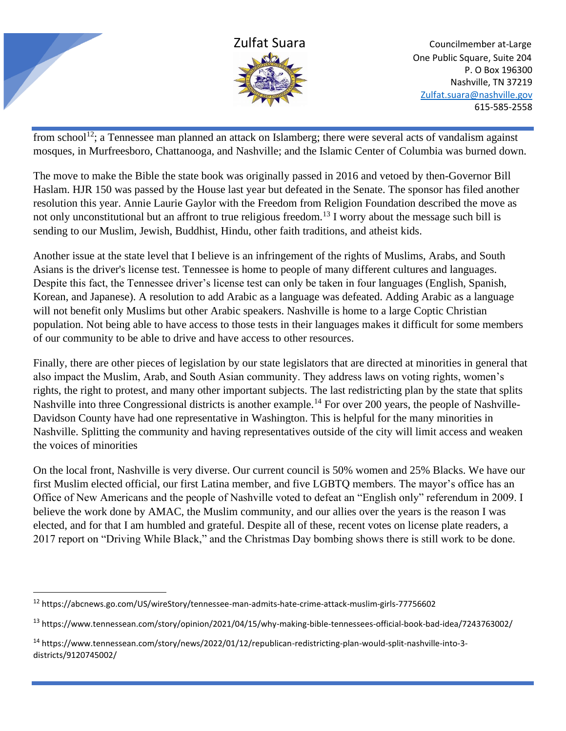

from school<sup>12</sup>; a Tennessee man planned an attack on Islamberg; there were several acts of vandalism against mosques, in Murfreesboro, Chattanooga, and Nashville; and the Islamic Center of Columbia was burned down.

The move to make the Bible the state book was originally passed in 2016 and vetoed by then-Governor Bill Haslam. HJR 150 was passed by the House last year but defeated in the Senate. The sponsor has filed another resolution this year. Annie Laurie Gaylor with the Freedom from Religion Foundation described the move as not only unconstitutional but an affront to true religious freedom.<sup>13</sup> I worry about the message such bill is sending to our Muslim, Jewish, Buddhist, Hindu, other faith traditions, and atheist kids.

Another issue at the state level that I believe is an infringement of the rights of Muslims, Arabs, and South Asians is the driver's license test. Tennessee is home to people of many different cultures and languages. Despite this fact, the Tennessee driver's license test can only be taken in four languages (English, Spanish, Korean, and Japanese). A resolution to add Arabic as a language was defeated. Adding Arabic as a language will not benefit only Muslims but other Arabic speakers. Nashville is home to a large Coptic Christian population. Not being able to have access to those tests in their languages makes it difficult for some members of our community to be able to drive and have access to other resources.

Finally, there are other pieces of legislation by our state legislators that are directed at minorities in general that also impact the Muslim, Arab, and South Asian community. They address laws on voting rights, women's rights, the right to protest, and many other important subjects. The last redistricting plan by the state that splits Nashville into three Congressional districts is another example.<sup>14</sup> For over 200 years, the people of Nashville-Davidson County have had one representative in Washington. This is helpful for the many minorities in Nashville. Splitting the community and having representatives outside of the city will limit access and weaken the voices of minorities

On the local front, Nashville is very diverse. Our current council is 50% women and 25% Blacks. We have our first Muslim elected official, our first Latina member, and five LGBTQ members. The mayor's office has an Office of New Americans and the people of Nashville voted to defeat an "English only" referendum in 2009. I believe the work done by AMAC, the Muslim community, and our allies over the years is the reason I was elected, and for that I am humbled and grateful. Despite all of these, recent votes on license plate readers, a 2017 report on "Driving While Black," and the Christmas Day bombing shows there is still work to be done.

<sup>12</sup> https://abcnews.go.com/US/wireStory/tennessee-man-admits-hate-crime-attack-muslim-girls-77756602

<sup>13</sup> https://www.tennessean.com/story/opinion/2021/04/15/why-making-bible-tennessees-official-book-bad-idea/7243763002/

<sup>14</sup> https://www.tennessean.com/story/news/2022/01/12/republican-redistricting-plan-would-split-nashville-into-3 districts/9120745002/